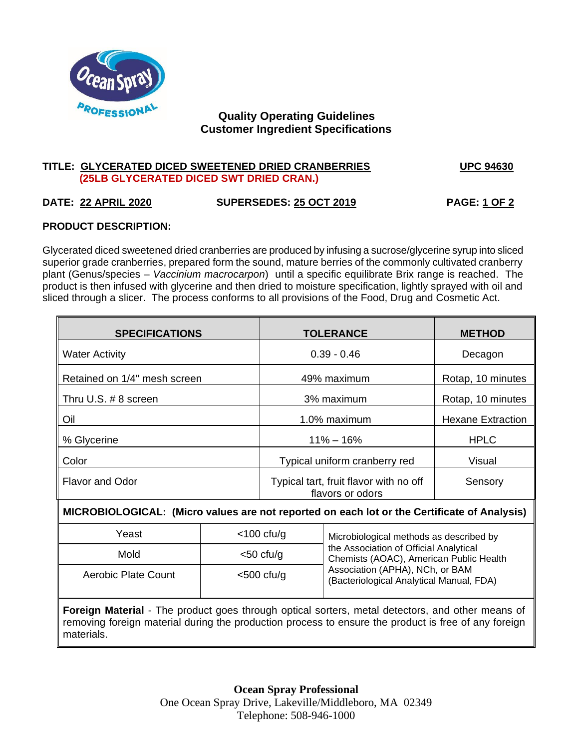

# **Quality Operating Guidelines Customer Ingredient Specifications**

#### **TITLE: GLYCERATED DICED SWEETENED DRIED CRANBERRIES UPC 94630 (25LB GLYCERATED DICED SWT DRIED CRAN.)**

# **DATE: 22 APRIL 2020 SUPERSEDES: 25 OCT 2019 PAGE: 1 OF 2**

# **PRODUCT DESCRIPTION:**

Glycerated diced sweetened dried cranberries are produced by infusing a sucrose/glycerine syrup into sliced superior grade cranberries, prepared form the sound, mature berries of the commonly cultivated cranberry plant (Genus/species – *Vaccinium macrocarpon*) until a specific equilibrate Brix range is reached. The product is then infused with glycerine and then dried to moisture specification, lightly sprayed with oil and sliced through a slicer. The process conforms to all provisions of the Food, Drug and Cosmetic Act.

| <b>SPECIFICATIONS</b>                                                                            |               | <b>TOLERANCE</b>                                           |                                                                                                                                                                                                             | <b>METHOD</b>            |
|--------------------------------------------------------------------------------------------------|---------------|------------------------------------------------------------|-------------------------------------------------------------------------------------------------------------------------------------------------------------------------------------------------------------|--------------------------|
| <b>Water Activity</b>                                                                            |               | $0.39 - 0.46$                                              |                                                                                                                                                                                                             | Decagon                  |
| Retained on 1/4" mesh screen                                                                     |               | 49% maximum                                                |                                                                                                                                                                                                             | Rotap, 10 minutes        |
| Thru U.S. # 8 screen                                                                             |               | 3% maximum                                                 |                                                                                                                                                                                                             | Rotap, 10 minutes        |
| Oil                                                                                              |               | 1.0% maximum                                               |                                                                                                                                                                                                             | <b>Hexane Extraction</b> |
| % Glycerine                                                                                      |               | $11\% - 16\%$                                              |                                                                                                                                                                                                             | <b>HPLC</b>              |
| Color                                                                                            |               | Typical uniform cranberry red                              |                                                                                                                                                                                                             | Visual                   |
| <b>Flavor and Odor</b>                                                                           |               | Typical tart, fruit flavor with no off<br>flavors or odors |                                                                                                                                                                                                             | Sensory                  |
| MICROBIOLOGICAL: (Micro values are not reported on each lot or the Certificate of Analysis)      |               |                                                            |                                                                                                                                                                                                             |                          |
| Yeast                                                                                            | $<$ 100 cfu/g |                                                            | Microbiological methods as described by<br>the Association of Official Analytical<br>Chemists (AOAC), American Public Health<br>Association (APHA), NCh, or BAM<br>(Bacteriological Analytical Manual, FDA) |                          |
| Mold                                                                                             | $<$ 50 cfu/g  |                                                            |                                                                                                                                                                                                             |                          |
| Aerobic Plate Count                                                                              | $<$ 500 cfu/g |                                                            |                                                                                                                                                                                                             |                          |
| Foreign Material - The product goes through optical sorters, metal detectors, and other means of |               |                                                            |                                                                                                                                                                                                             |                          |

removing foreign material during the production process to ensure the product is free of any foreign materials.